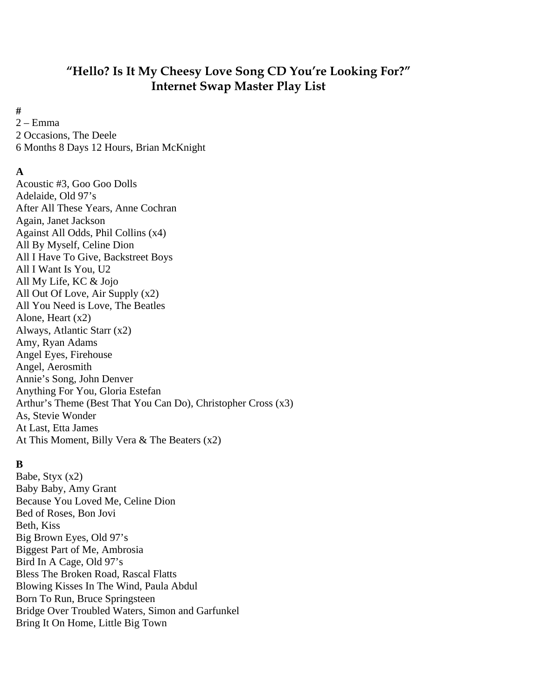# **"Hello? Is It My Cheesy Love Song CD You're Looking For?" Internet Swap Master Play List**

**#** 

2 – Emma 2 Occasions, The Deele 6 Months 8 Days 12 Hours, Brian McKnight

## **A**

Acoustic #3, Goo Goo Dolls Adelaide, Old 97's After All These Years, Anne Cochran Again, Janet Jackson Against All Odds, Phil Collins (x4) All By Myself, Celine Dion All I Have To Give, Backstreet Boys All I Want Is You, U2 All My Life, KC & Jojo All Out Of Love, Air Supply (x2) All You Need is Love, The Beatles Alone, Heart (x2) Always, Atlantic Starr (x2) Amy, Ryan Adams Angel Eyes, Firehouse Angel, Aerosmith Annie's Song, John Denver Anything For You, Gloria Estefan Arthur's Theme (Best That You Can Do), Christopher Cross (x3) As, Stevie Wonder At Last, Etta James At This Moment, Billy Vera & The Beaters (x2)

## **B**

Babe, Styx (x2) Baby Baby, Amy Grant Because You Loved Me, Celine Dion Bed of Roses, Bon Jovi Beth, Kiss Big Brown Eyes, Old 97's Biggest Part of Me, Ambrosia Bird In A Cage, Old 97's Bless The Broken Road, Rascal Flatts Blowing Kisses In The Wind, Paula Abdul Born To Run, Bruce Springsteen Bridge Over Troubled Waters, Simon and Garfunkel Bring It On Home, Little Big Town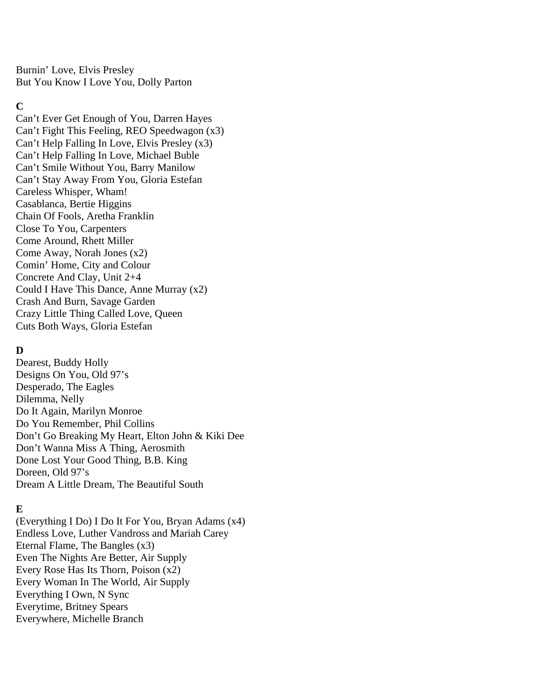Burnin' Love, Elvis Presley But You Know I Love You, Dolly Parton

### **C**

Can't Ever Get Enough of You, Darren Hayes Can't Fight This Feeling, REO Speedwagon (x3) Can't Help Falling In Love, Elvis Presley (x3) Can't Help Falling In Love, Michael Buble Can't Smile Without You, Barry Manilow Can't Stay Away From You, Gloria Estefan Careless Whisper, Wham! Casablanca, Bertie Higgins Chain Of Fools, Aretha Franklin Close To You, Carpenters Come Around, Rhett Miller Come Away, Norah Jones (x2) Comin' Home, City and Colour Concrete And Clay, Unit 2+4 Could I Have This Dance, Anne Murray (x2) Crash And Burn, Savage Garden Crazy Little Thing Called Love, Queen Cuts Both Ways, Gloria Estefan

## **D**

Dearest, Buddy Holly Designs On You, Old 97's Desperado, The Eagles Dilemma, Nelly Do It Again, Marilyn Monroe Do You Remember, Phil Collins Don't Go Breaking My Heart, Elton John & Kiki Dee Don't Wanna Miss A Thing, Aerosmith Done Lost Your Good Thing, B.B. King Doreen, Old 97's Dream A Little Dream, The Beautiful South

## **E**

(Everything I Do) I Do It For You, Bryan Adams (x4) Endless Love, Luther Vandross and Mariah Carey Eternal Flame, The Bangles (x3) Even The Nights Are Better, Air Supply Every Rose Has Its Thorn, Poison (x2) Every Woman In The World, Air Supply Everything I Own, N Sync Everytime, Britney Spears Everywhere, Michelle Branch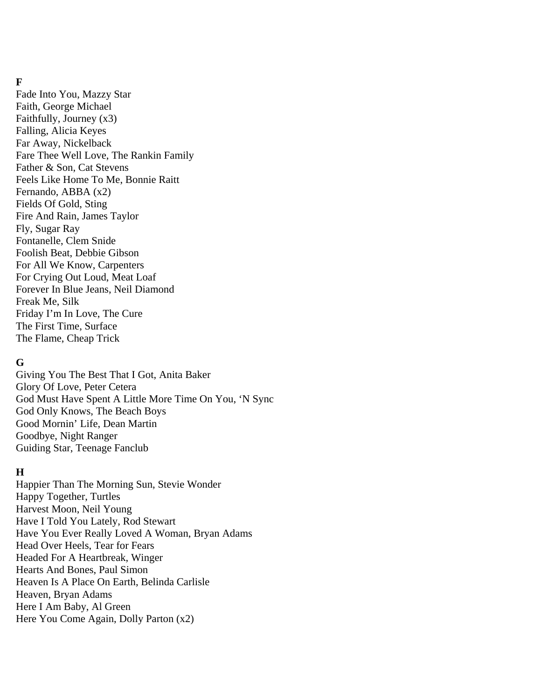### **F**

Fade Into You, Mazzy Star Faith, George Michael Faithfully, Journey (x3) Falling, Alicia Keyes Far Away, Nickelback Fare Thee Well Love, The Rankin Family Father & Son, Cat Stevens Feels Like Home To Me, Bonnie Raitt Fernando, ABBA (x2) Fields Of Gold, Sting Fire And Rain, James Taylor Fly, Sugar Ray Fontanelle, Clem Snide Foolish Beat, Debbie Gibson For All We Know, Carpenters For Crying Out Loud, Meat Loaf Forever In Blue Jeans, Neil Diamond Freak Me, Silk Friday I'm In Love, The Cure The First Time, Surface The Flame, Cheap Trick

## **G**

Giving You The Best That I Got, Anita Baker Glory Of Love, Peter Cetera God Must Have Spent A Little More Time On You, 'N Sync God Only Knows, The Beach Boys Good Mornin' Life, Dean Martin Goodbye, Night Ranger Guiding Star, Teenage Fanclub

#### **H**

Happier Than The Morning Sun, Stevie Wonder Happy Together, Turtles Harvest Moon, Neil Young Have I Told You Lately, Rod Stewart Have You Ever Really Loved A Woman, Bryan Adams Head Over Heels, Tear for Fears Headed For A Heartbreak, Winger Hearts And Bones, Paul Simon Heaven Is A Place On Earth, Belinda Carlisle Heaven, Bryan Adams Here I Am Baby, Al Green Here You Come Again, Dolly Parton (x2)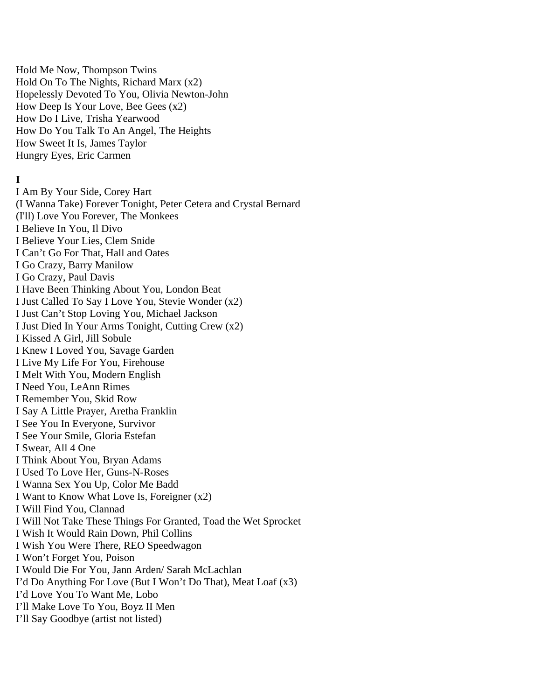Hold Me Now, Thompson Twins Hold On To The Nights, Richard Marx (x2) Hopelessly Devoted To You, Olivia Newton-John How Deep Is Your Love, Bee Gees (x2) How Do I Live, Trisha Yearwood How Do You Talk To An Angel, The Heights How Sweet It Is, James Taylor Hungry Eyes, Eric Carmen

#### **I**

I Am By Your Side, Corey Hart (I Wanna Take) Forever Tonight, Peter Cetera and Crystal Bernard (I'll) Love You Forever, The Monkees I Believe In You, Il Divo I Believe Your Lies, Clem Snide I Can't Go For That, Hall and Oates I Go Crazy, Barry Manilow I Go Crazy, Paul Davis I Have Been Thinking About You, London Beat I Just Called To Say I Love You, Stevie Wonder (x2) I Just Can't Stop Loving You, Michael Jackson I Just Died In Your Arms Tonight, Cutting Crew (x2) I Kissed A Girl, Jill Sobule I Knew I Loved You, Savage Garden I Live My Life For You, Firehouse I Melt With You, Modern English I Need You, LeAnn Rimes I Remember You, Skid Row I Say A Little Prayer, Aretha Franklin I See You In Everyone, Survivor I See Your Smile, Gloria Estefan I Swear, All 4 One I Think About You, Bryan Adams I Used To Love Her, Guns-N-Roses I Wanna Sex You Up, Color Me Badd I Want to Know What Love Is, Foreigner (x2) I Will Find You, Clannad I Will Not Take These Things For Granted, Toad the Wet Sprocket I Wish It Would Rain Down, Phil Collins I Wish You Were There, REO Speedwagon I Won't Forget You, Poison I Would Die For You, Jann Arden/ Sarah McLachlan I'd Do Anything For Love (But I Won't Do That), Meat Loaf (x3) I'd Love You To Want Me, Lobo I'll Make Love To You, Boyz II Men I'll Say Goodbye (artist not listed)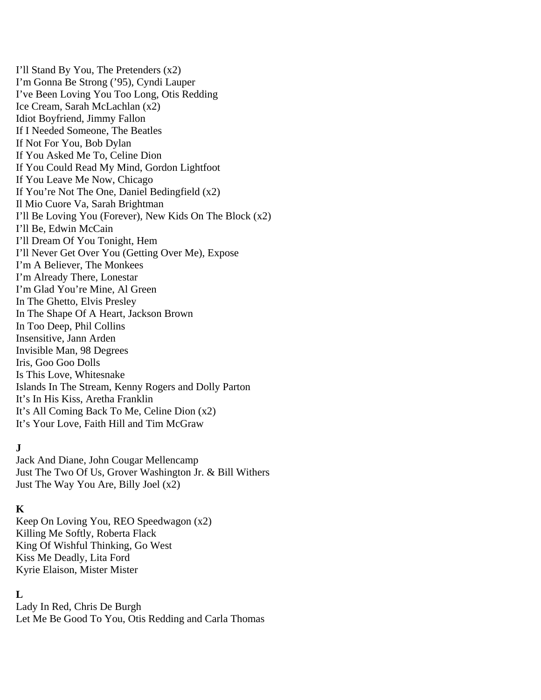I'll Stand By You, The Pretenders (x2) I'm Gonna Be Strong ('95), Cyndi Lauper I've Been Loving You Too Long, Otis Redding Ice Cream, Sarah McLachlan (x2) Idiot Boyfriend, Jimmy Fallon If I Needed Someone, The Beatles If Not For You, Bob Dylan If You Asked Me To, Celine Dion If You Could Read My Mind, Gordon Lightfoot If You Leave Me Now, Chicago If You're Not The One, Daniel Bedingfield (x2) Il Mio Cuore Va, Sarah Brightman I'll Be Loving You (Forever), New Kids On The Block (x2) I'll Be, Edwin McCain I'll Dream Of You Tonight, Hem I'll Never Get Over You (Getting Over Me), Expose I'm A Believer, The Monkees I'm Already There, Lonestar I'm Glad You're Mine, Al Green In The Ghetto, Elvis Presley In The Shape Of A Heart, Jackson Brown In Too Deep, Phil Collins Insensitive, Jann Arden Invisible Man, 98 Degrees Iris, Goo Goo Dolls Is This Love, Whitesnake Islands In The Stream, Kenny Rogers and Dolly Parton It's In His Kiss, Aretha Franklin It's All Coming Back To Me, Celine Dion (x2) It's Your Love, Faith Hill and Tim McGraw

## **J**

Jack And Diane, John Cougar Mellencamp Just The Two Of Us, Grover Washington Jr. & Bill Withers Just The Way You Are, Billy Joel (x2)

## **K**

Keep On Loving You, REO Speedwagon (x2) Killing Me Softly, Roberta Flack King Of Wishful Thinking, Go West Kiss Me Deadly, Lita Ford Kyrie Elaison, Mister Mister

## **L**

Lady In Red, Chris De Burgh Let Me Be Good To You, Otis Redding and Carla Thomas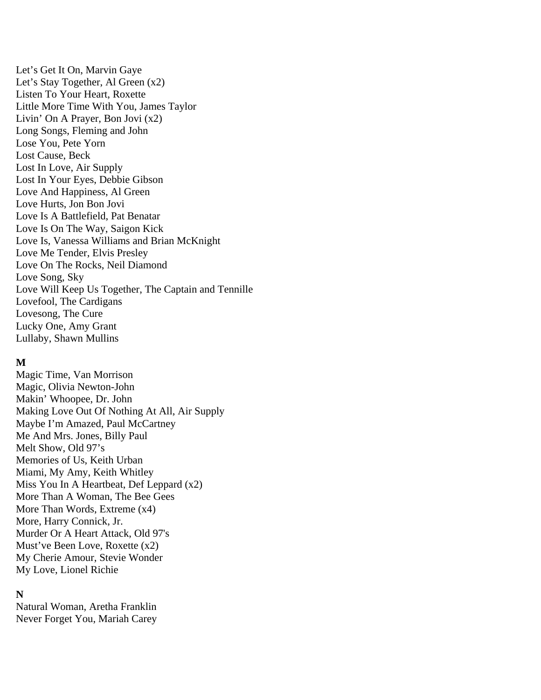Let's Get It On, Marvin Gaye Let's Stay Together, Al Green (x2) Listen To Your Heart, Roxette Little More Time With You, James Taylor Livin' On A Prayer, Bon Jovi (x2) Long Songs, Fleming and John Lose You, Pete Yorn Lost Cause, Beck Lost In Love, Air Supply Lost In Your Eyes, Debbie Gibson Love And Happiness, Al Green Love Hurts, Jon Bon Jovi Love Is A Battlefield, Pat Benatar Love Is On The Way, Saigon Kick Love Is, Vanessa Williams and Brian McKnight Love Me Tender, Elvis Presley Love On The Rocks, Neil Diamond Love Song, Sky Love Will Keep Us Together, The Captain and Tennille Lovefool, The Cardigans Lovesong, The Cure Lucky One, Amy Grant Lullaby, Shawn Mullins

#### **M**

Magic Time, Van Morrison Magic, Olivia Newton-John Makin' Whoopee, Dr. John Making Love Out Of Nothing At All, Air Supply Maybe I'm Amazed, Paul McCartney Me And Mrs. Jones, Billy Paul Melt Show, Old 97's Memories of Us, Keith Urban Miami, My Amy, Keith Whitley Miss You In A Heartbeat, Def Leppard (x2) More Than A Woman, The Bee Gees More Than Words, Extreme (x4) More, Harry Connick, Jr. Murder Or A Heart Attack, Old 97's Must've Been Love, Roxette (x2) My Cherie Amour, Stevie Wonder My Love, Lionel Richie

## **N**

Natural Woman, Aretha Franklin Never Forget You, Mariah Carey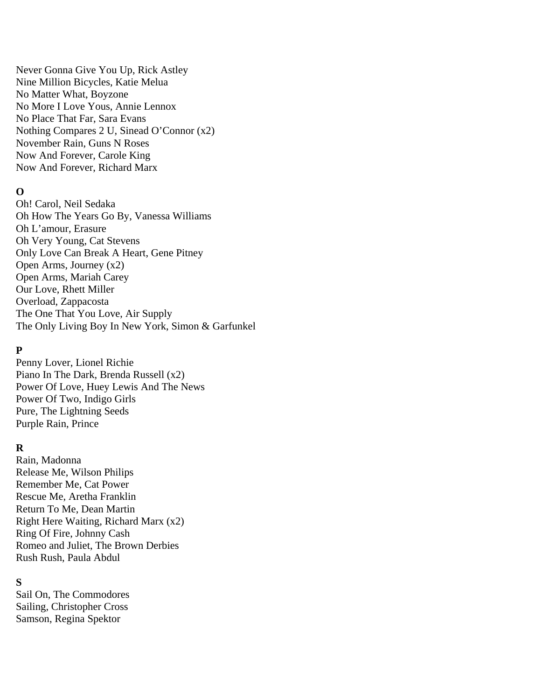Never Gonna Give You Up, Rick Astley Nine Million Bicycles, Katie Melua No Matter What, Boyzone No More I Love Yous, Annie Lennox No Place That Far, Sara Evans Nothing Compares 2 U, Sinead O'Connor (x2) November Rain, Guns N Roses Now And Forever, Carole King Now And Forever, Richard Marx

#### **O**

Oh! Carol, Neil Sedaka Oh How The Years Go By, Vanessa Williams Oh L'amour, Erasure Oh Very Young, Cat Stevens Only Love Can Break A Heart, Gene Pitney Open Arms, Journey (x2) Open Arms, Mariah Carey Our Love, Rhett Miller Overload, Zappacosta The One That You Love, Air Supply The Only Living Boy In New York, Simon & Garfunkel

### **P**

Penny Lover, Lionel Richie Piano In The Dark, Brenda Russell (x2) Power Of Love, Huey Lewis And The News Power Of Two, Indigo Girls Pure, The Lightning Seeds Purple Rain, Prince

## **R**

Rain, Madonna Release Me, Wilson Philips Remember Me, Cat Power Rescue Me, Aretha Franklin Return To Me, Dean Martin Right Here Waiting, Richard Marx (x2) Ring Of Fire, Johnny Cash Romeo and Juliet, The Brown Derbies Rush Rush, Paula Abdul

## **S**

Sail On, The Commodores Sailing, Christopher Cross Samson, Regina Spektor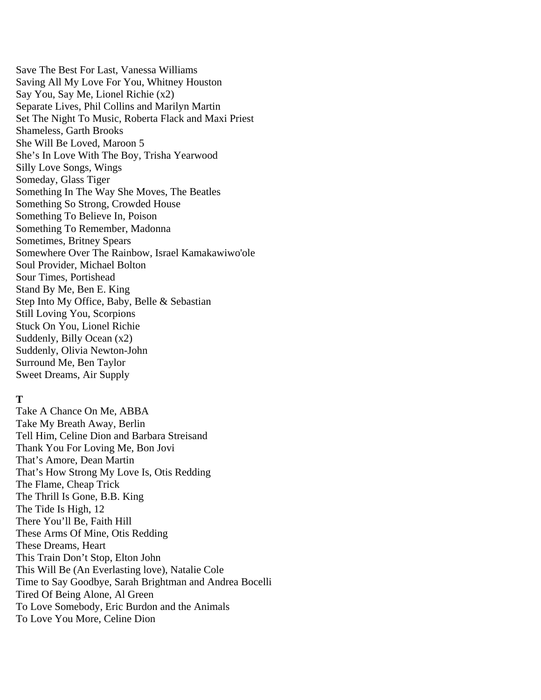Save The Best For Last, Vanessa Williams Saving All My Love For You, Whitney Houston Say You, Say Me, Lionel Richie (x2) Separate Lives, Phil Collins and Marilyn Martin Set The Night To Music, Roberta Flack and Maxi Priest Shameless, Garth Brooks She Will Be Loved, Maroon 5 She's In Love With The Boy, Trisha Yearwood Silly Love Songs, Wings Someday, Glass Tiger Something In The Way She Moves, The Beatles Something So Strong, Crowded House Something To Believe In, Poison Something To Remember, Madonna Sometimes, Britney Spears Somewhere Over The Rainbow, Israel Kamakawiwo'ole Soul Provider, Michael Bolton Sour Times, Portishead Stand By Me, Ben E. King Step Into My Office, Baby, Belle & Sebastian Still Loving You, Scorpions Stuck On You, Lionel Richie Suddenly, Billy Ocean (x2) Suddenly, Olivia Newton-John Surround Me, Ben Taylor Sweet Dreams, Air Supply

## **T**

Take A Chance On Me, ABBA Take My Breath Away, Berlin Tell Him, Celine Dion and Barbara Streisand Thank You For Loving Me, Bon Jovi That's Amore, Dean Martin That's How Strong My Love Is, Otis Redding The Flame, Cheap Trick The Thrill Is Gone, B.B. King The Tide Is High, 12 There You'll Be, Faith Hill These Arms Of Mine, Otis Redding These Dreams, Heart This Train Don't Stop, Elton John This Will Be (An Everlasting love), Natalie Cole Time to Say Goodbye, Sarah Brightman and Andrea Bocelli Tired Of Being Alone, Al Green To Love Somebody, Eric Burdon and the Animals To Love You More, Celine Dion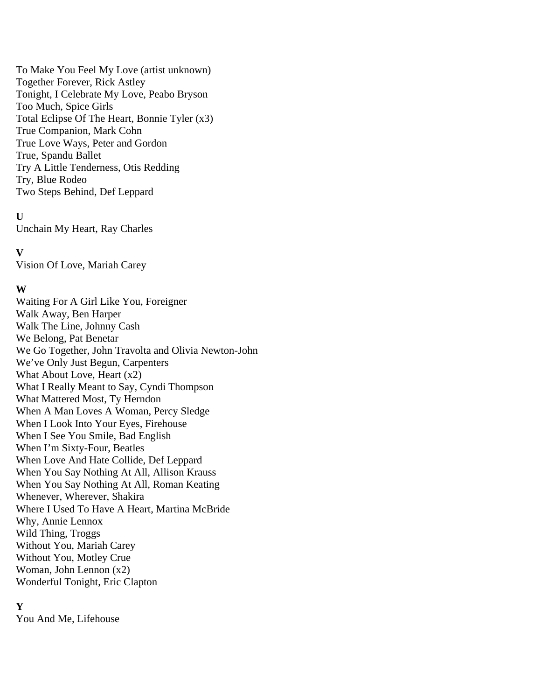To Make You Feel My Love (artist unknown) Together Forever, Rick Astley Tonight, I Celebrate My Love, Peabo Bryson Too Much, Spice Girls Total Eclipse Of The Heart, Bonnie Tyler (x3) True Companion, Mark Cohn True Love Ways, Peter and Gordon True, Spandu Ballet Try A Little Tenderness, Otis Redding Try, Blue Rodeo Two Steps Behind, Def Leppard

### **U**

Unchain My Heart, Ray Charles

### **V**

Vision Of Love, Mariah Carey

## **W**

Waiting For A Girl Like You, Foreigner Walk Away, Ben Harper Walk The Line, Johnny Cash We Belong, Pat Benetar We Go Together, John Travolta and Olivia Newton-John We've Only Just Begun, Carpenters What About Love, Heart (x2) What I Really Meant to Say, Cyndi Thompson What Mattered Most, Ty Herndon When A Man Loves A Woman, Percy Sledge When I Look Into Your Eyes, Firehouse When I See You Smile, Bad English When I'm Sixty-Four, Beatles When Love And Hate Collide, Def Leppard When You Say Nothing At All, Allison Krauss When You Say Nothing At All, Roman Keating Whenever, Wherever, Shakira Where I Used To Have A Heart, Martina McBride Why, Annie Lennox Wild Thing, Troggs Without You, Mariah Carey Without You, Motley Crue Woman, John Lennon (x2) Wonderful Tonight, Eric Clapton

## **Y**

You And Me, Lifehouse